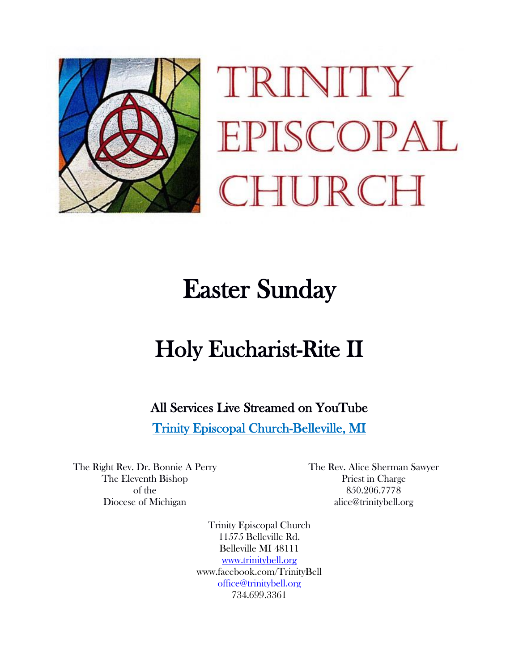

TRINITY EPISCOPAL HURCH

# Easter Sunday

# Holy Eucharist-Rite II

All Services Live Streamed on YouTube

Trinity Episcopal Church-Belleville, MI

The Right Rev. Dr. Bonnie A Perry The Eleventh Bishop of the Diocese of Michigan

The Rev. Alice Sherman Sawyer Priest in Charge 850.206.7778 alice@trinitybell.org

Trinity Episcopal Church 11575 Belleville Rd. Belleville MI 48111 [www.trinitybell.org](http://www.trinitybell.org/) www.facebook.com/TrinityBell [office@trinitybell.org](mailto:office@trinitybell.org) 734.699.3361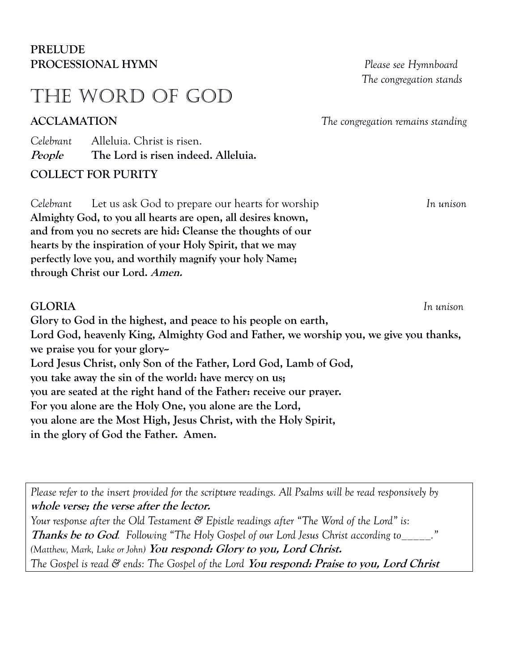## **PRELUDE PROCESSIONAL HYMN** *Please see Hymnboard*

## THE WORD of god

 *The congregation stands* 

**ACCLAMATION** *The congregation remains standing* 

*Celebrant* Alleluia. Christ is risen. **People The Lord is risen indeed. Alleluia.**

**COLLECT FOR PURITY**

*Celebrant* Let us ask God to prepare our hearts for worship *In unison* **Almighty God, to you all hearts are open, all desires known, and from you no secrets are hid: Cleanse the thoughts of our hearts by the inspiration of your Holy Spirit, that we may perfectly love you, and worthily magnify your holy Name; through Christ our Lord. Amen.**

## **GLORIA** *In unison*

**Glory to God in the highest, and peace to his people on earth, Lord God, heavenly King, Almighty God and Father, we worship you, we give you thanks, we praise you for your glory-- Lord Jesus Christ, only Son of the Father, Lord God, Lamb of God, you take away the sin of the world: have mercy on us; you are seated at the right hand of the Father: receive our prayer. For you alone are the Holy One, you alone are the Lord, you alone are the Most High, Jesus Christ, with the Holy Spirit, in the glory of God the Father. Amen.**

*Please refer to the insert provided for the scripture readings. All Psalms will be read responsively by*  **whole verse; the verse after the lector.** *Your response after the Old Testament & Epistle readings after "The Word of the Lord" is:*  **Thanks be to God***. Following "The Holy Gospel of our Lord Jesus Christ according to\_\_\_\_\_." (Matthew, Mark, Luke or John)* **You respond: Glory to you, Lord Christ.** *The Gospel is read & ends: The Gospel of the Lord* **You respond: Praise to you, Lord Christ**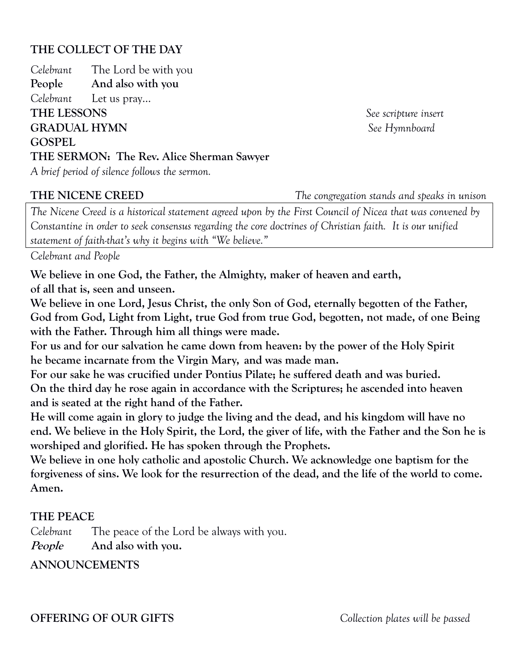## **THE COLLECT OF THE DAY**

*Celebrant* The Lord be with you **People And also with you** *Celebrant* Let us pray… **THE LESSONS** *See scripture insert* **GRADUAL HYMN** *See Hymnboard* **GOSPEL THE SERMON: The Rev. Alice Sherman Sawyer**  *A brief period of silence follows the sermon.*

**THE NICENE CREED** *The congregation stands and speaks in unison*

*The Nicene Creed is a historical statement agreed upon by the First Council of Nicea that was convened by Constantine in order to seek consensus regarding the core doctrines of Christian faith. It is our unified statement of faith-that's why it begins with "We believe."*

*Celebrant and People*

**We believe in one God, the Father, the Almighty, maker of heaven and earth, of all that is, seen and unseen.**

**We believe in one Lord, Jesus Christ, the only Son of God, eternally begotten of the Father, God from God, Light from Light, true God from true God, begotten, not made, of one Being with the Father. Through him all things were made.**

**For us and for our salvation he came down from heaven: by the power of the Holy Spirit he became incarnate from the Virgin Mary, and was made man.**

**For our sake he was crucified under Pontius Pilate; he suffered death and was buried. On the third day he rose again in accordance with the Scriptures; he ascended into heaven and is seated at the right hand of the Father.**

**He will come again in glory to judge the living and the dead, and his kingdom will have no end. We believe in the Holy Spirit, the Lord, the giver of life, with the Father and the Son he is worshiped and glorified. He has spoken through the Prophets.**

**We believe in one holy catholic and apostolic Church. We acknowledge one baptism for the forgiveness of sins. We look for the resurrection of the dead, and the life of the world to come. Amen.**

## **THE PEACE**

*Celebrant* The peace of the Lord be always with you.

**People And also with you.**

**ANNOUNCEMENTS**

## **OFFERING OF OUR GIFTS** *Collection plates will be passed*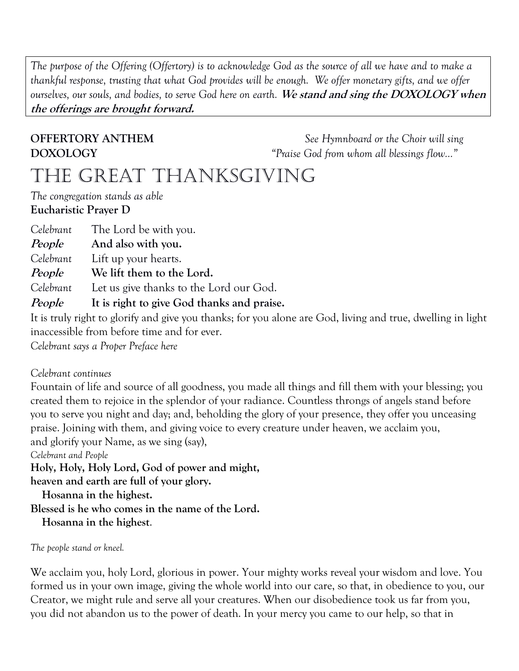*The purpose of the Offering (Offertory) is to acknowledge God as the source of all we have and to make a thankful response, trusting that what God provides will be enough. We offer monetary gifts, and we offer ourselves, our souls, and bodies, to serve God here on earth.* **We stand and sing the DOXOLOGY when the offerings are brought forward.**

**OFFERTORY ANTHEM** *See Hymnboard or the Choir will sing*  **DOXOLOGY** *"Praise God from whom all blessings flow…"*

## THE GREAT THANKSGIVING

*The congregation stands as able* **Eucharistic Prayer D**

*Celebrant* The Lord be with you.

**People And also with you.**

*Celebrant* Lift up your hearts.

**People We lift them to the Lord.**

*Celebrant* Let us give thanks to the Lord our God.

**People It is right to give God thanks and praise.**

It is truly right to glorify and give you thanks; for you alone are God, living and true, dwelling in light inaccessible from before time and for ever.

*Celebrant says a Proper Preface here*

## *Celebrant continues*

Fountain of life and source of all goodness, you made all things and fill them with your blessing; you created them to rejoice in the splendor of your radiance. Countless throngs of angels stand before you to serve you night and day; and, beholding the glory of your presence, they offer you unceasing praise. Joining with them, and giving voice to every creature under heaven, we acclaim you, and glorify your Name, as we sing (say),

*Celebrant and People* 

**Holy, Holy, Holy Lord, God of power and might,**

**heaven and earth are full of your glory.**

 **Hosanna in the highest.**

**Blessed is he who comes in the name of the Lord.**

 **Hosanna in the highest**.

*The people stand or kneel.*

We acclaim you, holy Lord, glorious in power. Your mighty works reveal your wisdom and love. You formed us in your own image, giving the whole world into our care, so that, in obedience to you, our Creator, we might rule and serve all your creatures. When our disobedience took us far from you, you did not abandon us to the power of death. In your mercy you came to our help, so that in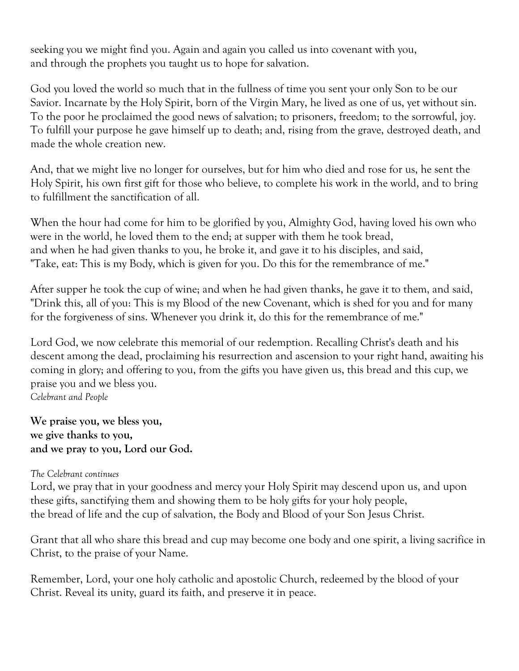seeking you we might find you. Again and again you called us into covenant with you, and through the prophets you taught us to hope for salvation.

God you loved the world so much that in the fullness of time you sent your only Son to be our Savior. Incarnate by the Holy Spirit, born of the Virgin Mary, he lived as one of us, yet without sin. To the poor he proclaimed the good news of salvation; to prisoners, freedom; to the sorrowful, joy. To fulfill your purpose he gave himself up to death; and, rising from the grave, destroyed death, and made the whole creation new.

And, that we might live no longer for ourselves, but for him who died and rose for us, he sent the Holy Spirit, his own first gift for those who believe, to complete his work in the world, and to bring to fulfillment the sanctification of all.

When the hour had come for him to be glorified by you, Almighty God, having loved his own who were in the world, he loved them to the end; at supper with them he took bread, and when he had given thanks to you, he broke it, and gave it to his disciples, and said, "Take, eat: This is my Body, which is given for you. Do this for the remembrance of me."

After supper he took the cup of wine; and when he had given thanks, he gave it to them, and said, "Drink this, all of you: This is my Blood of the new Covenant, which is shed for you and for many for the forgiveness of sins. Whenever you drink it, do this for the remembrance of me."

Lord God, we now celebrate this memorial of our redemption. Recalling Christ's death and his descent among the dead, proclaiming his resurrection and ascension to your right hand, awaiting his coming in glory; and offering to you, from the gifts you have given us, this bread and this cup, we praise you and we bless you.

*Celebrant and People*

**We praise you, we bless you, we give thanks to you, and we pray to you, Lord our God.**

## *The Celebrant continues*

Lord, we pray that in your goodness and mercy your Holy Spirit may descend upon us, and upon these gifts, sanctifying them and showing them to be holy gifts for your holy people, the bread of life and the cup of salvation, the Body and Blood of your Son Jesus Christ.

Grant that all who share this bread and cup may become one body and one spirit, a living sacrifice in Christ, to the praise of your Name.

Remember, Lord, your one holy catholic and apostolic Church, redeemed by the blood of your Christ. Reveal its unity, guard its faith, and preserve it in peace.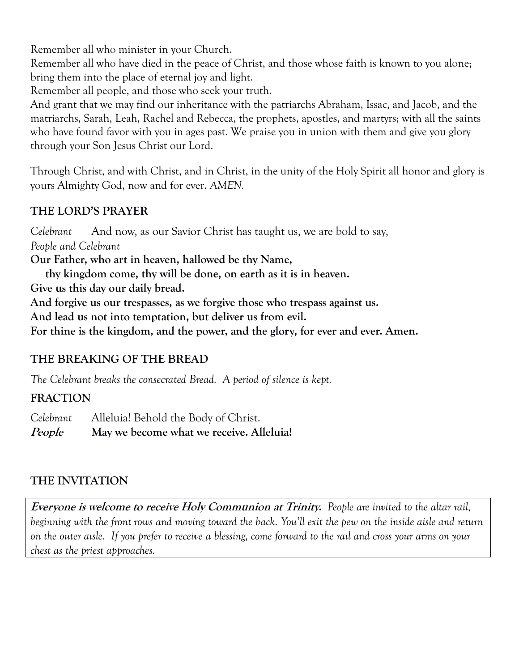Remember all who minister in your Church.

Remember all who have died in the peace of Christ, and those whose faith is known to you alone; bring them into the place of eternal joy and light.

Remember all people, and those who seek your truth.

And grant that we may find our inheritance with the patriarchs Abraham, Issac, and Jacob, and the matriarchs, Sarah, Leah, Rachel and Rebecca, the prophets, apostles, and martyrs; with all the saints who have found favor with you in ages past. We praise you in union with them and give you glory through your Son Jesus Christ our Lord.

Through Christ, and with Christ, and in Christ, in the unity of the Holy Spirit all honor and glory is yours Almighty God, now and for ever. *AMEN.*

## **THE LORD'S PRAYER**

*Celebrant* And now, as our Savior Christ has taught us, we are bold to say, *People and Celebrant* **Our Father, who art in heaven, hallowed be thy Name, thy kingdom come, thy will be done, on earth as it is in heaven. Give us this day our daily bread. And forgive us our trespasses, as we forgive those who trespass against us. And lead us not into temptation, but deliver us from evil. For thine is the kingdom, and the power, and the glory, for ever and ever. Amen.** 

## **THE BREAKING OF THE BREAD**

*The Celebrant breaks the consecrated Bread. A period of silence is kept.*

## **FRACTION**

*Celebrant* Alleluia! Behold the Body of Christ.

**People May we become what we receive. Alleluia!**

## **THE INVITATION**

**Everyone is welcome to receive Holy Communion at Trinity.** *People are invited to the altar rail, beginning with the front rows and moving toward the back. You'll exit the pew on the inside aisle and return on the outer aisle. If you prefer to receive a blessing, come forward to the rail and cross your arms on your chest as the priest approaches.*